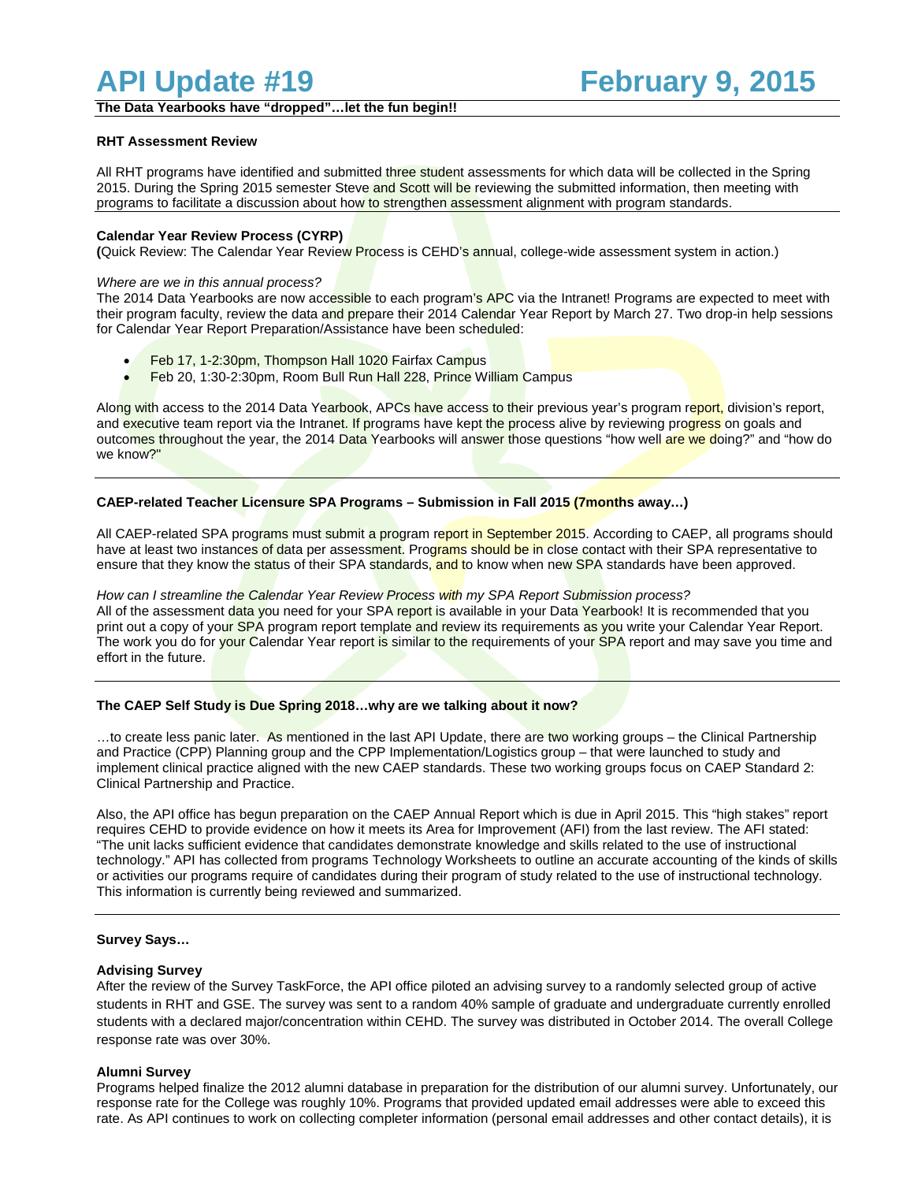**The Data Yearbooks have "dropped"…let the fun begin!!**

## **RHT Assessment Review**

All RHT programs have identified and submitted three student assessments for which data will be collected in the Spring 2015. During the Spring 2015 semester Steve and Scott will be reviewing the submitted information, then meeting with programs to facilitate a discussion about how to strengthen assessment alignment with program standards.

## **Calendar Year Review Process (CYRP)**

**(**Quick Review: The Calendar Year Review Process is CEHD's annual, college-wide assessment system in action.)

### *Where are we in this annual process?*

The 2014 Data Yearbooks are now accessible to each program's APC via the Intranet! Programs are expected to meet with their program faculty, review the data and prepare their 2014 Calendar Year Report by March 27. Two drop-in help sessions for Calendar Year Report Preparation/Assistance have been scheduled:

- Feb 17, 1-2:30pm, Thompson Hall 1020 Fairfax Campus
- Feb 20, 1:30-2:30pm, Room Bull Run Hall 228, Prince William Campus

Along with access to the 2014 Data Yearbook, APCs have access to their previous year's program report, division's report, and executive team report via the Intranet. If programs have kept the process alive by reviewing progress on goals and outcomes throughout the year, the 2014 Data Yearbooks will answer those questions "how well are we doing?" and "how do we know?"

## **CAEP-related Teacher Licensure SPA Programs – Submission in Fall 2015 (7months away…)**

All CAEP-related SPA programs must submit a program report in September 2015. According to CAEP, all programs should have at least two instances of data per assessment. Programs should be in close contact with their SPA representative to ensure that they know the status of their SPA standards, and to know when new SPA standards have been approved.

*How can I streamline the Calendar Year Review Process with my SPA Report Submission process?* All of the assessment data you need for your SPA report is available in your Data Yearbook! It is recommended that you print out a copy of your SPA program report template and review its requirements as you write your Calendar Year Report. The work you do for your Calendar Year report is similar to the requirements of your SPA report and may save you time and effort in the future.

## **The CAEP Self Study is Due Spring 2018…why are we talking about it now?**

...to create less panic later. As mentioned in the last API Update, there are two working groups – the Clinical Partnership and Practice (CPP) Planning group and the CPP Implementation/Logistics group – that were launched to study and implement clinical practice aligned with the new CAEP standards. These two working groups focus on CAEP Standard 2: Clinical Partnership and Practice.

Also, the API office has begun preparation on the CAEP Annual Report which is due in April 2015. This "high stakes" report requires CEHD to provide evidence on how it meets its Area for Improvement (AFI) from the last review. The AFI stated: "The unit lacks sufficient evidence that candidates demonstrate knowledge and skills related to the use of instructional technology." API has collected from programs Technology Worksheets to outline an accurate accounting of the kinds of skills or activities our programs require of candidates during their program of study related to the use of instructional technology. This information is currently being reviewed and summarized.

#### **Survey Says…**

## **Advising Survey**

After the review of the Survey TaskForce, the API office piloted an advising survey to a randomly selected group of active students in RHT and GSE. The survey was sent to a random 40% sample of graduate and undergraduate currently enrolled students with a declared major/concentration within CEHD. The survey was distributed in October 2014. The overall College response rate was over 30%.

#### **Alumni Survey**

Programs helped finalize the 2012 alumni database in preparation for the distribution of our alumni survey. Unfortunately, our response rate for the College was roughly 10%. Programs that provided updated email addresses were able to exceed this rate. As API continues to work on collecting completer information (personal email addresses and other contact details), it is